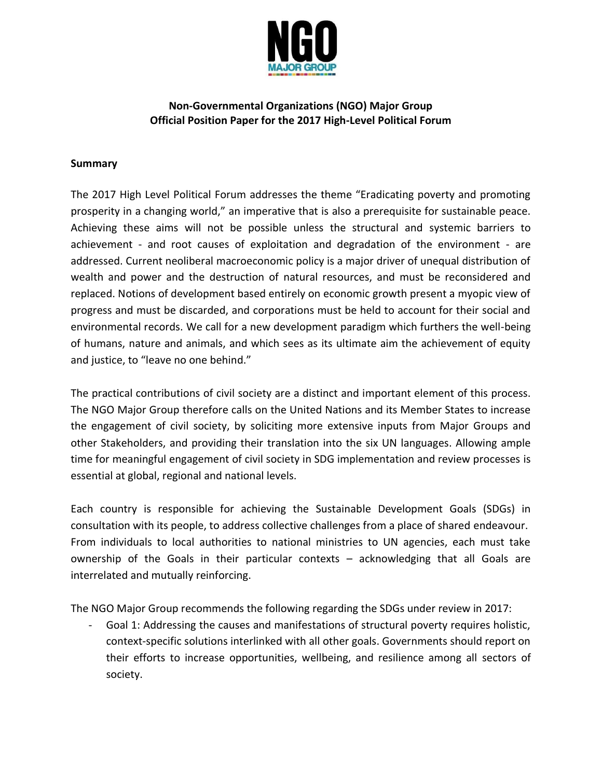

### **Non-Governmental Organizations (NGO) Major Group Official Position Paper for the 2017 High-Level Political Forum**

#### **Summary**

The 2017 High Level Political Forum addresses the theme "Eradicating poverty and promoting prosperity in a changing world," an imperative that is also a prerequisite for sustainable peace. Achieving these aims will not be possible unless the structural and systemic barriers to achievement - and root causes of exploitation and degradation of the environment - are addressed. Current neoliberal macroeconomic policy is a major driver of unequal distribution of wealth and power and the destruction of natural resources, and must be reconsidered and replaced. Notions of development based entirely on economic growth present a myopic view of progress and must be discarded, and corporations must be held to account for their social and environmental records. We call for a new development paradigm which furthers the well-being of humans, nature and animals, and which sees as its ultimate aim the achievement of equity and justice, to "leave no one behind."

The practical contributions of civil society are a distinct and important element of this process. The NGO Major Group therefore calls on the United Nations and its Member States to increase the engagement of civil society, by soliciting more extensive inputs from Major Groups and other Stakeholders, and providing their translation into the six UN languages. Allowing ample time for meaningful engagement of civil society in SDG implementation and review processes is essential at global, regional and national levels.

Each country is responsible for achieving the Sustainable Development Goals (SDGs) in consultation with its people, to address collective challenges from a place of shared endeavour. From individuals to local authorities to national ministries to UN agencies, each must take ownership of the Goals in their particular contexts – acknowledging that all Goals are interrelated and mutually reinforcing.

The NGO Major Group recommends the following regarding the SDGs under review in 2017:

Goal 1: Addressing the causes and manifestations of structural poverty requires holistic, context-specific solutions interlinked with all other goals. Governments should report on their efforts to increase opportunities, wellbeing, and resilience among all sectors of society.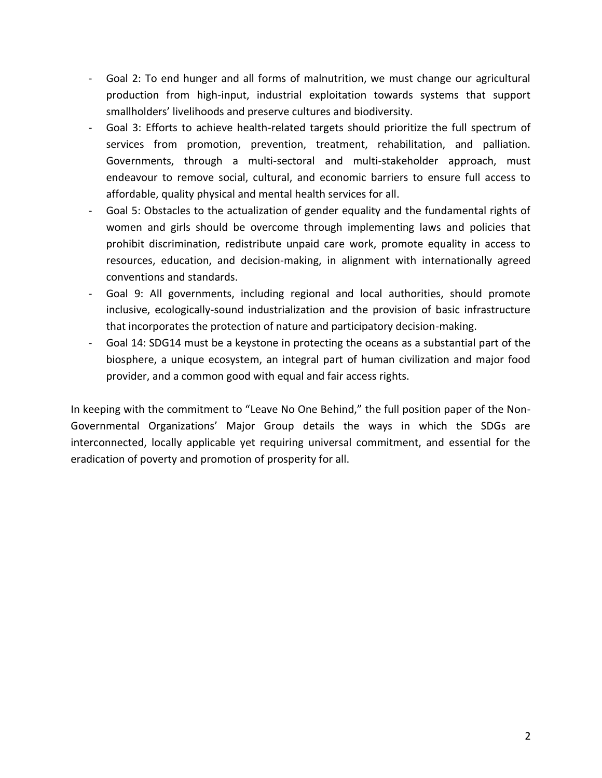- Goal 2: To end hunger and all forms of malnutrition, we must change our agricultural production from high-input, industrial exploitation towards systems that support smallholders' livelihoods and preserve cultures and biodiversity.
- Goal 3: Efforts to achieve health-related targets should prioritize the full spectrum of services from promotion, prevention, treatment, rehabilitation, and palliation. Governments, through a multi-sectoral and multi-stakeholder approach, must endeavour to remove social, cultural, and economic barriers to ensure full access to affordable, quality physical and mental health services for all.
- Goal 5: Obstacles to the actualization of gender equality and the fundamental rights of women and girls should be overcome through implementing laws and policies that prohibit discrimination, redistribute unpaid care work, promote equality in access to resources, education, and decision-making, in alignment with internationally agreed conventions and standards.
- Goal 9: All governments, including regional and local authorities, should promote inclusive, ecologically-sound industrialization and the provision of basic infrastructure that incorporates the protection of nature and participatory decision-making.
- Goal 14: SDG14 must be a keystone in protecting the oceans as a substantial part of the biosphere, a unique ecosystem, an integral part of human civilization and major food provider, and a common good with equal and fair access rights.

In keeping with the commitment to "Leave No One Behind," the full position paper of the Non-Governmental Organizations' Major Group details the ways in which the SDGs are interconnected, locally applicable yet requiring universal commitment, and essential for the eradication of poverty and promotion of prosperity for all.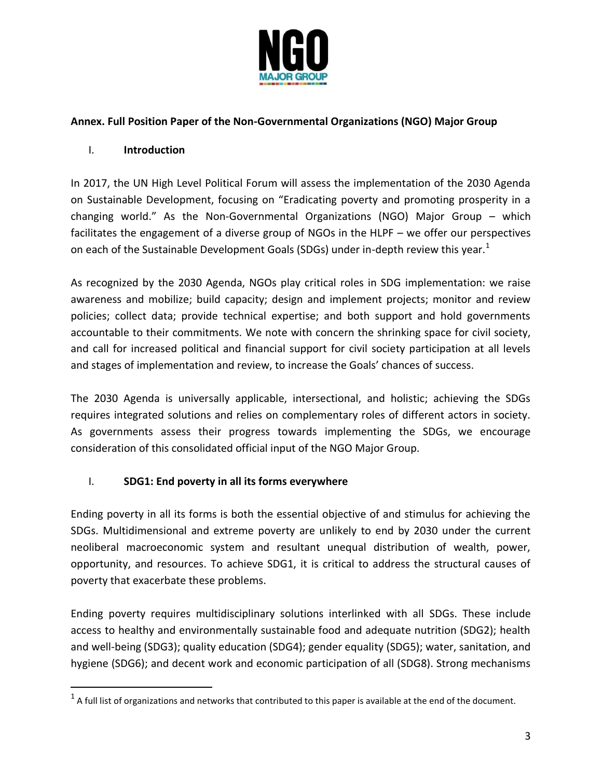

### **Annex. Full Position Paper of the Non-Governmental Organizations (NGO) Major Group**

### I. **Introduction**

 $\overline{a}$ 

In 2017, the UN High Level Political Forum will assess the implementation of the 2030 Agenda on Sustainable Development, focusing on "Eradicating poverty and promoting prosperity in a changing world." As the Non-Governmental Organizations (NGO) Major Group – which facilitates the engagement of a diverse group of NGOs in the HLPF – we offer our perspectives on each of the Sustainable Development Goals (SDGs) under in-depth review this year.<sup>1</sup>

As recognized by the 2030 Agenda, NGOs play critical roles in SDG implementation: we raise awareness and mobilize; build capacity; design and implement projects; monitor and review policies; collect data; provide technical expertise; and both support and hold governments accountable to their commitments. We note with concern the shrinking space for civil society, and call for increased political and financial support for civil society participation at all levels and stages of implementation and review, to increase the Goals' chances of success.

The 2030 Agenda is universally applicable, intersectional, and holistic; achieving the SDGs requires integrated solutions and relies on complementary roles of different actors in society. As governments assess their progress towards implementing the SDGs, we encourage consideration of this consolidated official input of the NGO Major Group.

## I. **SDG1: End poverty in all its forms everywhere**

Ending poverty in all its forms is both the essential objective of and stimulus for achieving the SDGs. Multidimensional and extreme poverty are unlikely to end by 2030 under the current neoliberal macroeconomic system and resultant unequal distribution of wealth, power, opportunity, and resources. To achieve SDG1, it is critical to address the structural causes of poverty that exacerbate these problems.

Ending poverty requires multidisciplinary solutions interlinked with all SDGs. These include access to healthy and environmentally sustainable food and adequate nutrition (SDG2); health and well-being (SDG3); quality education (SDG4); gender equality (SDG5); water, sanitation, and hygiene (SDG6); and decent work and economic participation of all (SDG8). Strong mechanisms

 $1$  A full list of organizations and networks that contributed to this paper is available at the end of the document.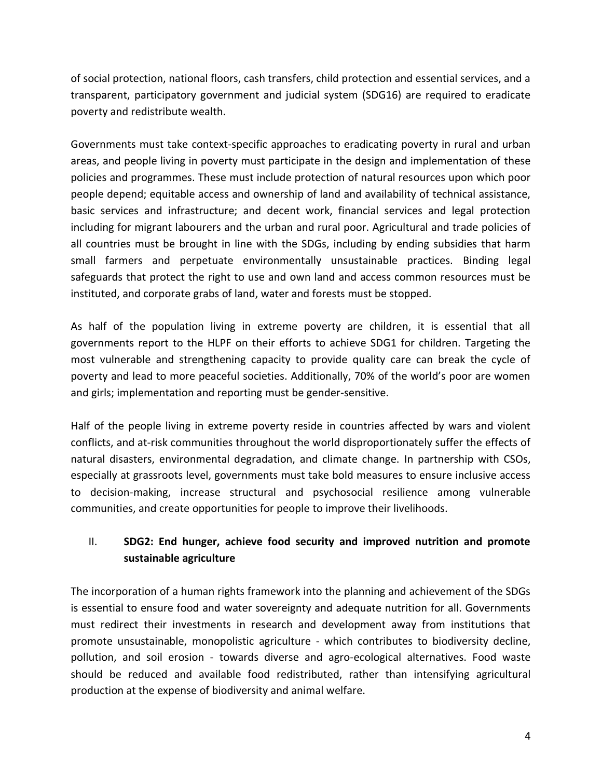of social protection, national floors, cash transfers, child protection and essential services, and a transparent, participatory government and judicial system (SDG16) are required to eradicate poverty and redistribute wealth.

Governments must take context-specific approaches to eradicating poverty in rural and urban areas, and people living in poverty must participate in the design and implementation of these policies and programmes. These must include protection of natural resources upon which poor people depend; equitable access and ownership of land and availability of technical assistance, basic services and infrastructure; and decent work, financial services and legal protection including for migrant labourers and the urban and rural poor. Agricultural and trade policies of all countries must be brought in line with the SDGs, including by ending subsidies that harm small farmers and perpetuate environmentally unsustainable practices. Binding legal safeguards that protect the right to use and own land and access common resources must be instituted, and corporate grabs of land, water and forests must be stopped.

As half of the population living in extreme poverty are children, it is essential that all governments report to the HLPF on their efforts to achieve SDG1 for children. Targeting the most vulnerable and strengthening capacity to provide quality care can break the cycle of poverty and lead to more peaceful societies. Additionally, 70% of the world's poor are women and girls; implementation and reporting must be gender-sensitive.

Half of the people living in extreme poverty reside in countries affected by wars and violent conflicts, and at-risk communities throughout the world disproportionately suffer the effects of natural disasters, environmental degradation, and climate change. In partnership with CSOs, especially at grassroots level, governments must take bold measures to ensure inclusive access to decision-making, increase structural and psychosocial resilience among vulnerable communities, and create opportunities for people to improve their livelihoods.

# II. **SDG2: End hunger, achieve food security and improved nutrition and promote sustainable agriculture**

The incorporation of a human rights framework into the planning and achievement of the SDGs is essential to ensure food and water sovereignty and adequate nutrition for all. Governments must redirect their investments in research and development away from institutions that promote unsustainable, monopolistic agriculture - which contributes to biodiversity decline, pollution, and soil erosion - towards diverse and agro-ecological alternatives. Food waste should be reduced and available food redistributed, rather than intensifying agricultural production at the expense of biodiversity and animal welfare.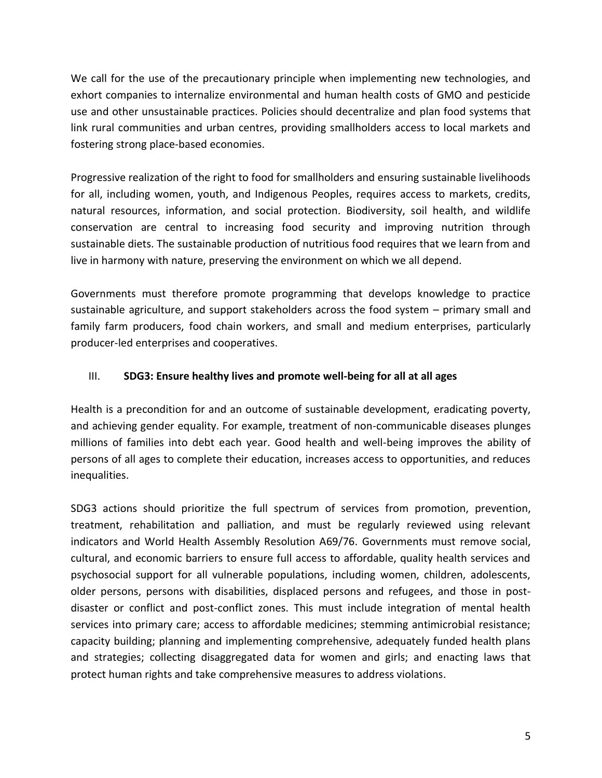We call for the use of the precautionary principle when implementing new technologies, and exhort companies to internalize environmental and human health costs of GMO and pesticide use and other unsustainable practices. Policies should decentralize and plan food systems that link rural communities and urban centres, providing smallholders access to local markets and fostering strong place-based economies.

Progressive realization of the right to food for smallholders and ensuring sustainable livelihoods for all, including women, youth, and Indigenous Peoples, requires access to markets, credits, natural resources, information, and social protection. Biodiversity, soil health, and wildlife conservation are central to increasing food security and improving nutrition through sustainable diets. The sustainable production of nutritious food requires that we learn from and live in harmony with nature, preserving the environment on which we all depend.

Governments must therefore promote programming that develops knowledge to practice sustainable agriculture, and support stakeholders across the food system – primary small and family farm producers, food chain workers, and small and medium enterprises, particularly producer-led enterprises and cooperatives.

#### III. **SDG3: Ensure healthy lives and promote well-being for all at all ages**

Health is a precondition for and an outcome of sustainable development, eradicating poverty, and achieving gender equality. For example, treatment of non-communicable diseases plunges millions of families into debt each year. Good health and well-being improves the ability of persons of all ages to complete their education, increases access to opportunities, and reduces inequalities.

SDG3 actions should prioritize the full spectrum of services from promotion, prevention, treatment, rehabilitation and palliation, and must be regularly reviewed using relevant indicators and World Health Assembly Resolution A69/76. Governments must remove social, cultural, and economic barriers to ensure full access to affordable, quality health services and psychosocial support for all vulnerable populations, including women, children, adolescents, older persons, persons with disabilities, displaced persons and refugees, and those in postdisaster or conflict and post-conflict zones. This must include integration of mental health services into primary care; access to affordable medicines; stemming antimicrobial resistance; capacity building; planning and implementing comprehensive, adequately funded health plans and strategies; collecting disaggregated data for women and girls; and enacting laws that protect human rights and take comprehensive measures to address violations.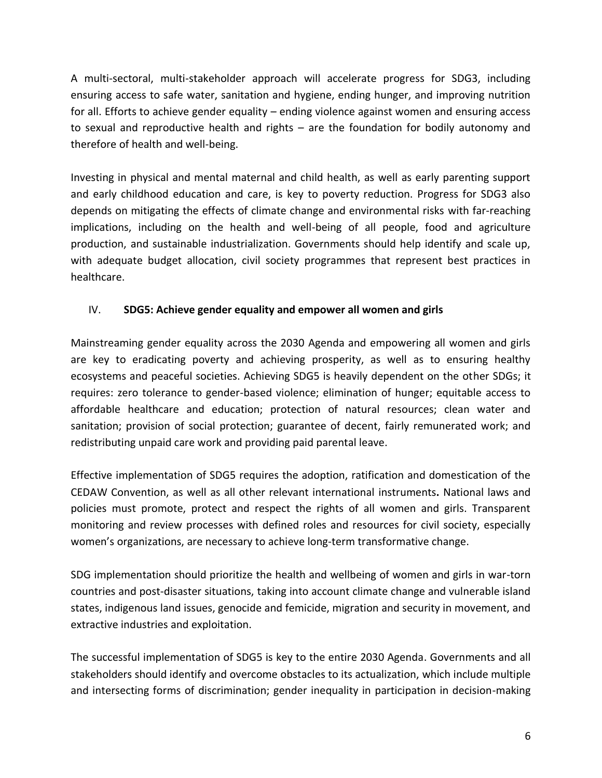A multi-sectoral, multi-stakeholder approach will accelerate progress for SDG3, including ensuring access to safe water, sanitation and hygiene, ending hunger, and improving nutrition for all. Efforts to achieve gender equality – ending violence against women and ensuring access to sexual and reproductive health and rights – are the foundation for bodily autonomy and therefore of health and well-being.

Investing in physical and mental maternal and child health, as well as early parenting support and early childhood education and care, is key to poverty reduction. Progress for SDG3 also depends on mitigating the effects of climate change and environmental risks with far-reaching implications, including on the health and well-being of all people, food and agriculture production, and sustainable industrialization. Governments should help identify and scale up, with adequate budget allocation, civil society programmes that represent best practices in healthcare.

### IV. **SDG5: Achieve gender equality and empower all women and girls**

Mainstreaming gender equality across the 2030 Agenda and empowering all women and girls are key to eradicating poverty and achieving prosperity, as well as to ensuring healthy ecosystems and peaceful societies. Achieving SDG5 is heavily dependent on the other SDGs; it requires: zero tolerance to gender-based violence; elimination of hunger; equitable access to affordable healthcare and education; protection of natural resources; clean water and sanitation; provision of social protection; guarantee of decent, fairly remunerated work; and redistributing unpaid care work and providing paid parental leave.

Effective implementation of SDG5 requires the adoption, ratification and domestication of the CEDAW Convention, as well as all other relevant international instruments**.** National laws and policies must promote, protect and respect the rights of all women and girls. Transparent monitoring and review processes with defined roles and resources for civil society, especially women's organizations, are necessary to achieve long-term transformative change.

SDG implementation should prioritize the health and wellbeing of women and girls in war-torn countries and post-disaster situations, taking into account climate change and vulnerable island states, indigenous land issues, genocide and femicide, migration and security in movement, and extractive industries and exploitation.

The successful implementation of SDG5 is key to the entire 2030 Agenda. Governments and all stakeholders should identify and overcome obstacles to its actualization, which include multiple and intersecting forms of discrimination; gender inequality in participation in decision-making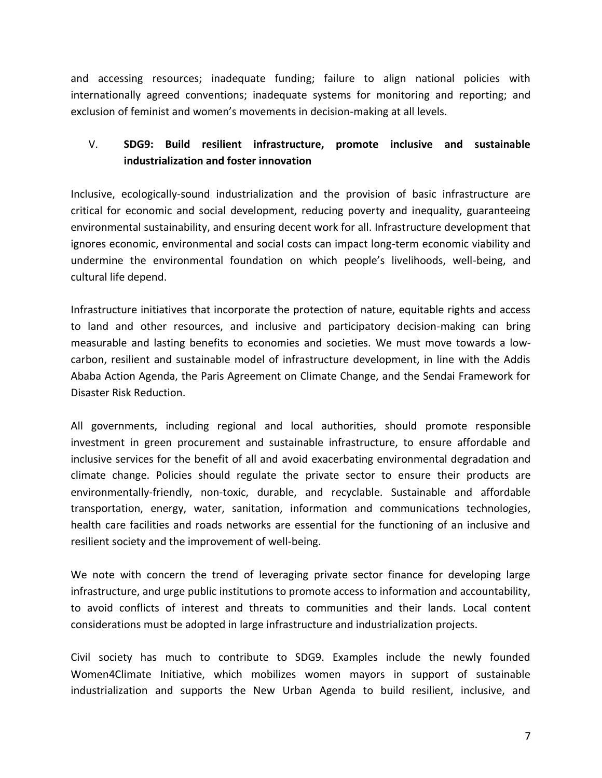and accessing resources; inadequate funding; failure to align national policies with internationally agreed conventions; inadequate systems for monitoring and reporting; and exclusion of feminist and women's movements in decision-making at all levels.

# V. **SDG9: Build resilient infrastructure, promote inclusive and sustainable industrialization and foster innovation**

Inclusive, ecologically-sound industrialization and the provision of basic infrastructure are critical for economic and social development, reducing poverty and inequality, guaranteeing environmental sustainability, and ensuring decent work for all. Infrastructure development that ignores economic, environmental and social costs can impact long-term economic viability and undermine the environmental foundation on which people's livelihoods, well-being, and cultural life depend.

Infrastructure initiatives that incorporate the protection of nature, equitable rights and access to land and other resources, and inclusive and participatory decision-making can bring measurable and lasting benefits to economies and societies. We must move towards a lowcarbon, resilient and sustainable model of infrastructure development, in line with the Addis Ababa Action Agenda, the Paris Agreement on Climate Change, and the Sendai Framework for Disaster Risk Reduction.

All governments, including regional and local authorities, should promote responsible investment in green procurement and sustainable infrastructure, to ensure affordable and inclusive services for the benefit of all and avoid exacerbating environmental degradation and climate change. Policies should regulate the private sector to ensure their products are environmentally-friendly, non-toxic, durable, and recyclable. Sustainable and affordable transportation, energy, water, sanitation, information and communications technologies, health care facilities and roads networks are essential for the functioning of an inclusive and resilient society and the improvement of well-being.

We note with concern the trend of leveraging private sector finance for developing large infrastructure, and urge public institutions to promote access to information and accountability, to avoid conflicts of interest and threats to communities and their lands. Local content considerations must be adopted in large infrastructure and industrialization projects.

Civil society has much to contribute to SDG9. Examples include the newly founded Women4Climate Initiative, which mobilizes women mayors in support of sustainable industrialization and supports the New Urban Agenda to build resilient, inclusive, and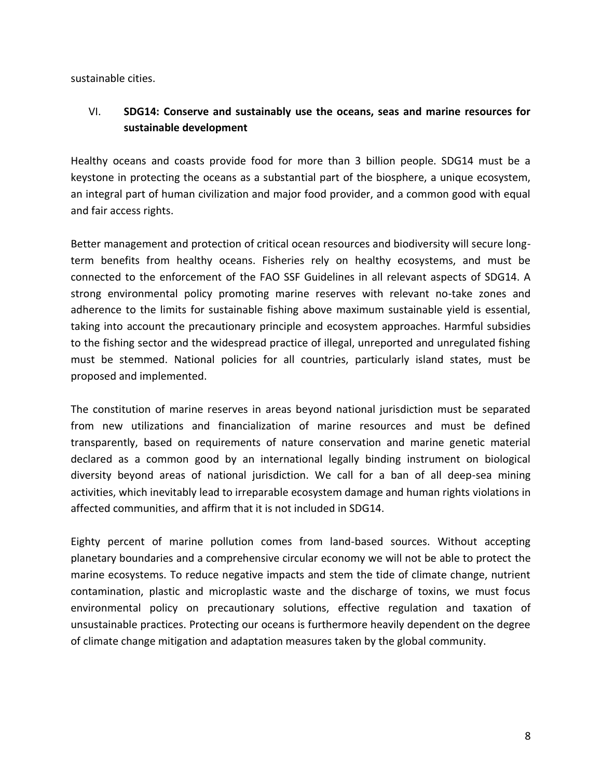sustainable cities.

## VI. **SDG14: Conserve and sustainably use the oceans, seas and marine resources for sustainable development**

Healthy oceans and coasts provide food for more than 3 billion people. SDG14 must be a keystone in protecting the oceans as a substantial part of the biosphere, a unique ecosystem, an integral part of human civilization and major food provider, and a common good with equal and fair access rights.

Better management and protection of critical ocean resources and biodiversity will secure longterm benefits from healthy oceans. Fisheries rely on healthy ecosystems, and must be connected to the enforcement of the FAO SSF Guidelines in all relevant aspects of SDG14. A strong environmental policy promoting marine reserves with relevant no-take zones and adherence to the limits for sustainable fishing above maximum sustainable yield is essential, taking into account the precautionary principle and ecosystem approaches. Harmful subsidies to the fishing sector and the widespread practice of illegal, unreported and unregulated fishing must be stemmed. National policies for all countries, particularly island states, must be proposed and implemented.

The constitution of marine reserves in areas beyond national jurisdiction must be separated from new utilizations and financialization of marine resources and must be defined transparently, based on requirements of nature conservation and marine genetic material declared as a common good by an international legally binding instrument on biological diversity beyond areas of national jurisdiction. We call for a ban of all deep-sea mining activities, which inevitably lead to irreparable ecosystem damage and human rights violations in affected communities, and affirm that it is not included in SDG14.

Eighty percent of marine pollution comes from land-based sources. Without accepting planetary boundaries and a comprehensive circular economy we will not be able to protect the marine ecosystems. To reduce negative impacts and stem the tide of climate change, nutrient contamination, plastic and microplastic waste and the discharge of toxins, we must focus environmental policy on precautionary solutions, effective regulation and taxation of unsustainable practices. Protecting our oceans is furthermore heavily dependent on the degree of climate change mitigation and adaptation measures taken by the global community.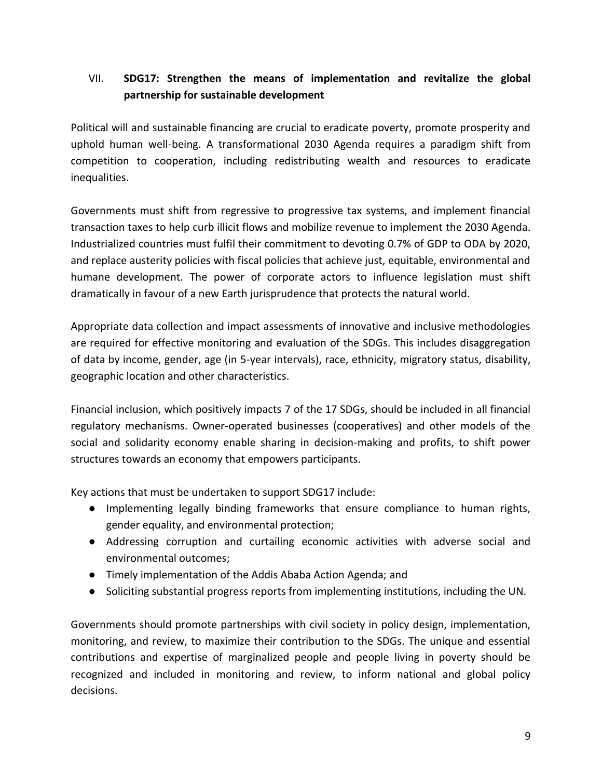# VII. **SDG17: Strengthen the means of implementation and revitalize the global partnership for sustainable development**

Political will and sustainable financing are crucial to eradicate poverty, promote prosperity and uphold human well-being. A transformational 2030 Agenda requires a paradigm shift from competition to cooperation, including redistributing wealth and resources to eradicate inequalities.

Governments must shift from regressive to progressive tax systems, and implement financial transaction taxes to help curb illicit flows and mobilize revenue to implement the 2030 Agenda. Industrialized countries must fulfil their commitment to devoting 0.7% of GDP to ODA by 2020, and replace austerity policies with fiscal policies that achieve just, equitable, environmental and humane development. The power of corporate actors to influence legislation must shift dramatically in favour of a new Earth jurisprudence that protects the natural world.

Appropriate data collection and impact assessments of innovative and inclusive methodologies are required for effective monitoring and evaluation of the SDGs. This includes disaggregation of data by income, gender, age (in 5-year intervals), race, ethnicity, migratory status, disability, geographic location and other characteristics.

Financial inclusion, which positively impacts 7 of the 17 SDGs, should be included in all financial regulatory mechanisms. Owner-operated businesses (cooperatives) and other models of the social and solidarity economy enable sharing in decision-making and profits, to shift power structures towards an economy that empowers participants.

Key actions that must be undertaken to support SDG17 include:

- Implementing legally binding frameworks that ensure compliance to human rights, gender equality, and environmental protection;
- Addressing corruption and curtailing economic activities with adverse social and environmental outcomes;
- Timely implementation of the Addis Ababa Action Agenda; and
- Soliciting substantial progress reports from implementing institutions, including the UN.

Governments should promote partnerships with civil society in policy design, implementation, monitoring, and review, to maximize their contribution to the SDGs. The unique and essential contributions and expertise of marginalized people and people living in poverty should be recognized and included in monitoring and review, to inform national and global policy decisions.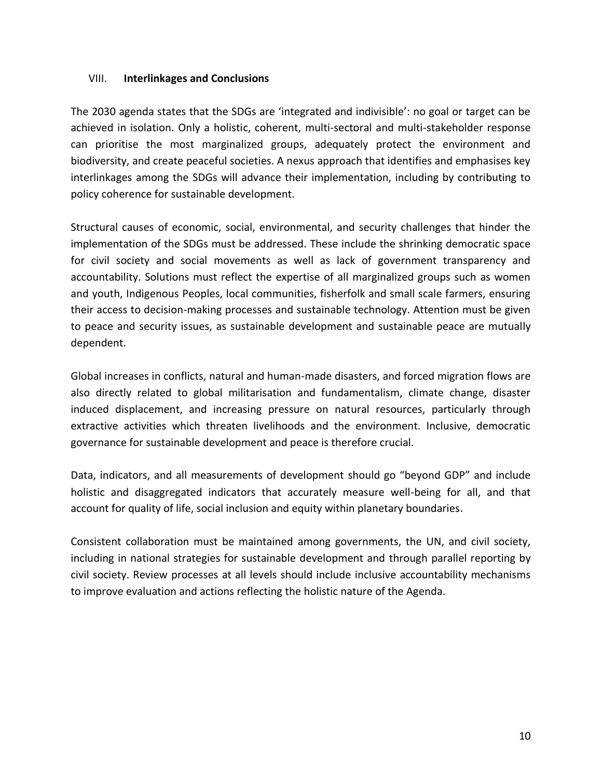#### VIII. **Interlinkages and Conclusions**

The 2030 agenda states that the SDGs are 'integrated and indivisible': no goal or target can be achieved in isolation. Only a holistic, coherent, multi-sectoral and multi-stakeholder response can prioritise the most marginalized groups, adequately protect the environment and biodiversity, and create peaceful societies. A nexus approach that identifies and emphasises key interlinkages among the SDGs will advance their implementation, including by contributing to policy coherence for sustainable development.

Structural causes of economic, social, environmental, and security challenges that hinder the implementation of the SDGs must be addressed. These include the shrinking democratic space for civil society and social movements as well as lack of government transparency and accountability. Solutions must reflect the expertise of all marginalized groups such as women and youth, Indigenous Peoples, local communities, fisherfolk and small scale farmers, ensuring their access to decision-making processes and sustainable technology. Attention must be given to peace and security issues, as sustainable development and sustainable peace are mutually dependent.

Global increases in conflicts, natural and human-made disasters, and forced migration flows are also directly related to global militarisation and fundamentalism, climate change, disaster induced displacement, and increasing pressure on natural resources, particularly through extractive activities which threaten livelihoods and the environment. Inclusive, democratic governance for sustainable development and peace is therefore crucial.

Data, indicators, and all measurements of development should go "beyond GDP" and include holistic and disaggregated indicators that accurately measure well-being for all, and that account for quality of life, social inclusion and equity within planetary boundaries.

Consistent collaboration must be maintained among governments, the UN, and civil society, including in national strategies for sustainable development and through parallel reporting by civil society. Review processes at all levels should include inclusive accountability mechanisms to improve evaluation and actions reflecting the holistic nature of the Agenda.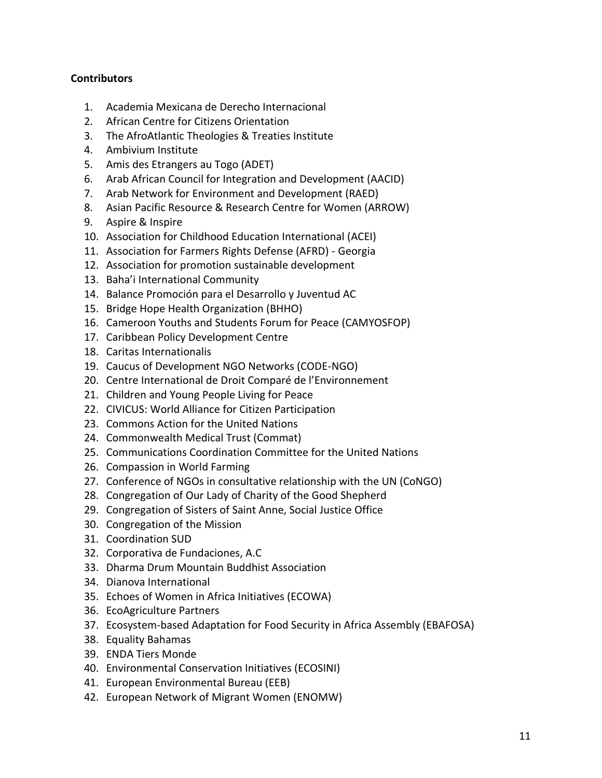#### **Contributors**

- 1. Academia Mexicana de Derecho Internacional
- 2. African Centre for Citizens Orientation
- 3. The AfroAtlantic Theologies & Treaties Institute
- 4. Ambivium Institute
- 5. Amis des Etrangers au Togo (ADET)
- 6. Arab African Council for Integration and Development (AACID)
- 7. Arab Network for Environment and Development (RAED)
- 8. Asian Pacific Resource & Research Centre for Women (ARROW)
- 9. Aspire & Inspire
- 10. Association for Childhood Education International (ACEI)
- 11. Association for Farmers Rights Defense (AFRD) Georgia
- 12. Association for promotion sustainable development
- 13. Baha'i International Community
- 14. Balance Promoción para el Desarrollo y Juventud AC
- 15. Bridge Hope Health Organization (BHHO)
- 16. Cameroon Youths and Students Forum for Peace (CAMYOSFOP)
- 17. Caribbean Policy Development Centre
- 18. Caritas Internationalis
- 19. Caucus of Development NGO Networks (CODE-NGO)
- 20. Centre International de Droit Comparé de l'Environnement
- 21. Children and Young People Living for Peace
- 22. CIVICUS: World Alliance for Citizen Participation
- 23. Commons Action for the United Nations
- 24. Commonwealth Medical Trust (Commat)
- 25. Communications Coordination Committee for the United Nations
- 26. Compassion in World Farming
- 27. Conference of NGOs in consultative relationship with the UN (CoNGO)
- 28. Congregation of Our Lady of Charity of the Good Shepherd
- 29. Congregation of Sisters of Saint Anne, Social Justice Office
- 30. Congregation of the Mission
- 31. Coordination SUD
- 32. Corporativa de Fundaciones, A.C
- 33. Dharma Drum Mountain Buddhist Association
- 34. Dianova International
- 35. Echoes of Women in Africa Initiatives (ECOWA)
- 36. EcoAgriculture Partners
- 37. Ecosystem-based Adaptation for Food Security in Africa Assembly (EBAFOSA)
- 38. Equality Bahamas
- 39. ENDA Tiers Monde
- 40. Environmental Conservation Initiatives (ECOSINI)
- 41. European Environmental Bureau (EEB)
- 42. European Network of Migrant Women (ENOMW)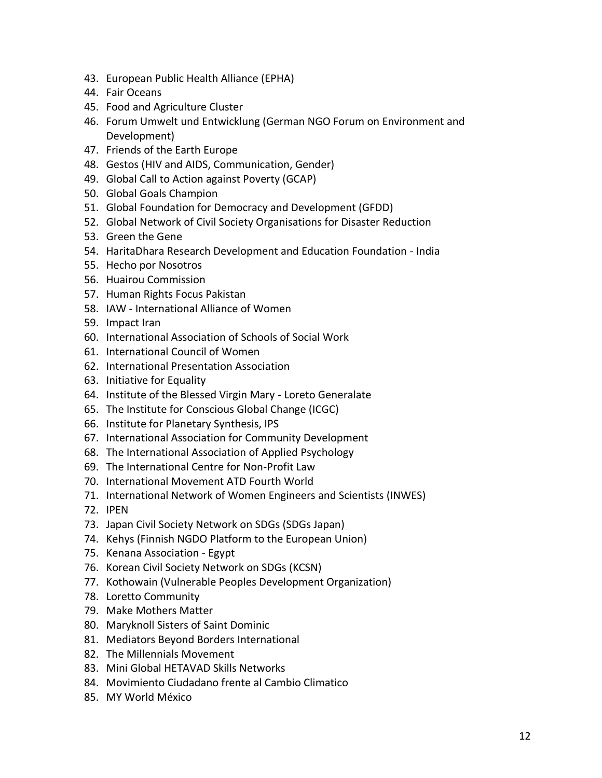- 43. European Public Health Alliance (EPHA)
- 44. Fair Oceans
- 45. Food and Agriculture Cluster
- 46. Forum Umwelt und Entwicklung (German NGO Forum on Environment and Development)
- 47. Friends of the Earth Europe
- 48. Gestos (HIV and AIDS, Communication, Gender)
- 49. Global Call to Action against Poverty (GCAP)
- 50. Global Goals Champion
- 51. Global Foundation for Democracy and Development (GFDD)
- 52. Global Network of Civil Society Organisations for Disaster Reduction
- 53. Green the Gene
- 54. HaritaDhara Research Development and Education Foundation India
- 55. Hecho por Nosotros
- 56. Huairou Commission
- 57. Human Rights Focus Pakistan
- 58. IAW International Alliance of Women
- 59. Impact Iran
- 60. International Association of Schools of Social Work
- 61. International Council of Women
- 62. International Presentation Association
- 63. Initiative for Equality
- 64. Institute of the Blessed Virgin Mary Loreto Generalate
- 65. The Institute for Conscious Global Change (ICGC)
- 66. Institute for Planetary Synthesis, IPS
- 67. International Association for Community Development
- 68. The International Association of Applied Psychology
- 69. The International Centre for Non-Profit Law
- 70. International Movement ATD Fourth World
- 71. International Network of Women Engineers and Scientists (INWES)
- 72. IPEN
- 73. Japan Civil Society Network on SDGs (SDGs Japan)
- 74. Kehys (Finnish NGDO Platform to the European Union)
- 75. Kenana Association Egypt
- 76. Korean Civil Society Network on SDGs (KCSN)
- 77. Kothowain (Vulnerable Peoples Development Organization)
- 78. Loretto Community
- 79. Make Mothers Matter
- 80. Maryknoll Sisters of Saint Dominic
- 81. Mediators Beyond Borders International
- 82. The Millennials Movement
- 83. Mini Global HETAVAD Skills Networks
- 84. Movimiento Ciudadano frente al Cambio Climatico
- 85. MY World México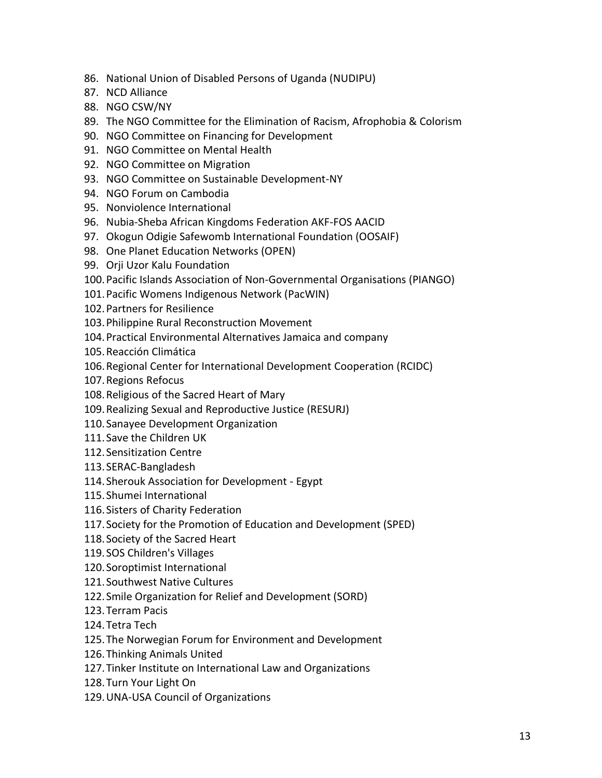- 86. National Union of Disabled Persons of Uganda (NUDIPU)
- 87. NCD Alliance
- 88. NGO CSW/NY
- 89. The NGO Committee for the Elimination of Racism, Afrophobia & Colorism
- 90. NGO Committee on Financing for Development
- 91. NGO Committee on Mental Health
- 92. NGO Committee on Migration
- 93. NGO Committee on Sustainable Development-NY
- 94. NGO Forum on Cambodia
- 95. Nonviolence International
- 96. Nubia-Sheba African Kingdoms Federation AKF-FOS AACID
- 97. Okogun Odigie Safewomb International Foundation (OOSAIF)
- 98. One Planet Education Networks (OPEN)
- 99. Orji Uzor Kalu Foundation
- 100.Pacific Islands Association of Non-Governmental Organisations (PIANGO)
- 101.Pacific Womens Indigenous Network (PacWIN)
- 102.Partners for Resilience
- 103.Philippine Rural Reconstruction Movement
- 104.Practical Environmental Alternatives Jamaica and company
- 105.Reacción Climática
- 106.Regional Center for International Development Cooperation (RCIDC)
- 107.Regions Refocus
- 108.Religious of the Sacred Heart of Mary
- 109.Realizing Sexual and Reproductive Justice (RESURJ)
- 110.Sanayee Development Organization
- 111.Save the Children UK
- 112.Sensitization Centre
- 113.SERAC-Bangladesh
- 114.Sherouk Association for Development Egypt
- 115.Shumei International
- 116.Sisters of Charity Federation
- 117.Society for the Promotion of Education and Development (SPED)
- 118.Society of the Sacred Heart
- 119.SOS Children's Villages
- 120.Soroptimist International
- 121.Southwest Native Cultures
- 122.Smile Organization for Relief and Development (SORD)
- 123.Terram Pacis
- 124.Tetra Tech
- 125.The Norwegian Forum for Environment and Development
- 126.Thinking Animals United
- 127.Tinker Institute on International Law and Organizations
- 128.Turn Your Light On
- 129.UNA-USA Council of Organizations